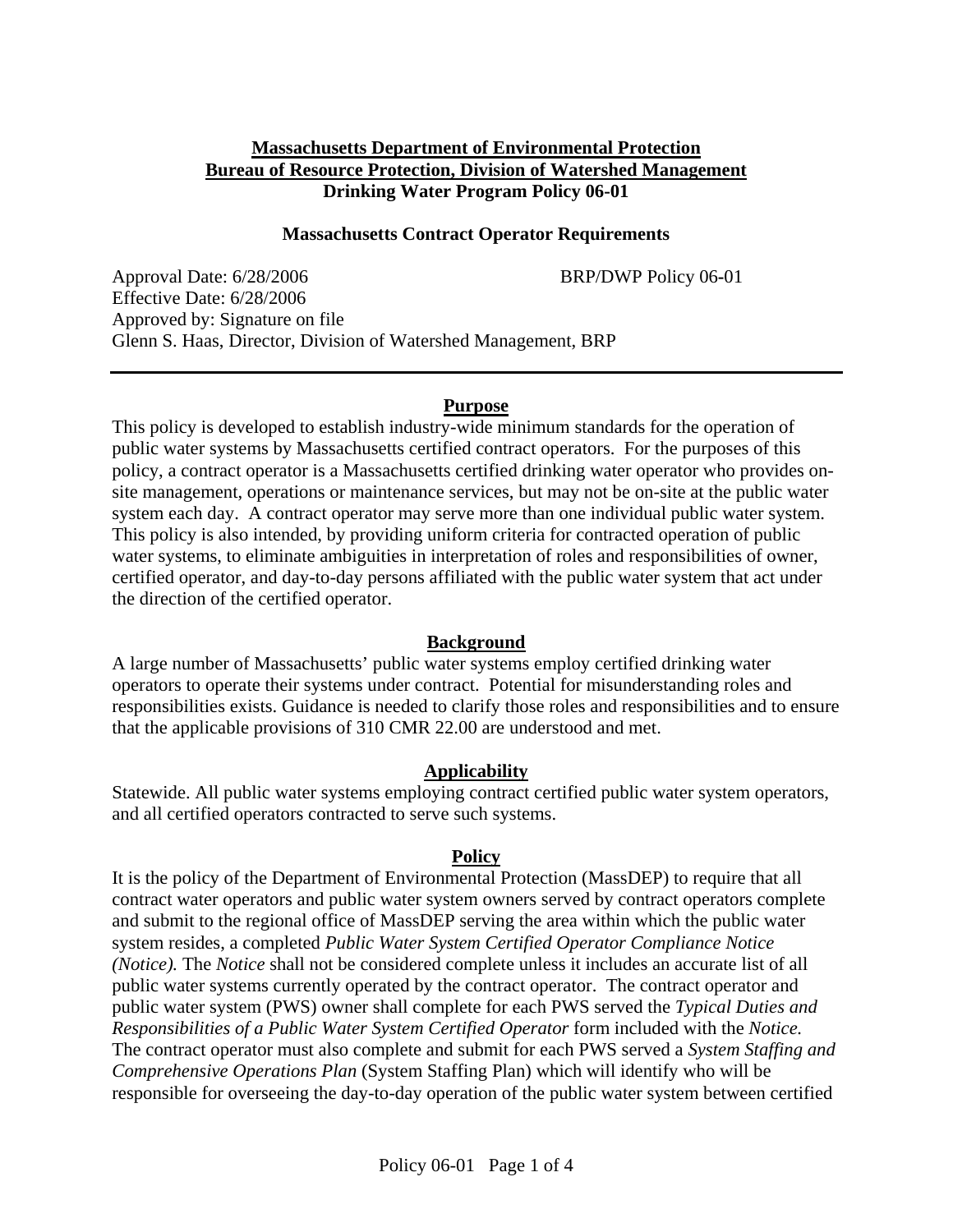### **Massachusetts Department of Environmental Protection Bureau of Resource Protection, Division of Watershed Management Drinking Water Program Policy 06-01**

### **Massachusetts Contract Operator Requirements**

Approval Date: 6/28/2006 BRP/DWP Policy 06**-**01 Effective Date: 6/28/2006 Approved by: Signature on file Glenn S. Haas, Director, Division of Watershed Management, BRP

#### **Purpose**

This policy is developed to establish industry-wide minimum standards for the operation of public water systems by Massachusetts certified contract operators. For the purposes of this policy, a contract operator is a Massachusetts certified drinking water operator who provides onsite management, operations or maintenance services, but may not be on-site at the public water system each day. A contract operator may serve more than one individual public water system. This policy is also intended, by providing uniform criteria for contracted operation of public water systems, to eliminate ambiguities in interpretation of roles and responsibilities of owner, certified operator, and day-to-day persons affiliated with the public water system that act under the direction of the certified operator.

#### **Background**

A large number of Massachusetts' public water systems employ certified drinking water operators to operate their systems under contract. Potential for misunderstanding roles and responsibilities exists. Guidance is needed to clarify those roles and responsibilities and to ensure that the applicable provisions of 310 CMR 22.00 are understood and met.

### **Applicability**

Statewide. All public water systems employing contract certified public water system operators, and all certified operators contracted to serve such systems.

#### **Policy**

It is the policy of the Department of Environmental Protection (MassDEP) to require that all contract water operators and public water system owners served by contract operators complete and submit to the regional office of MassDEP serving the area within which the public water system resides, a completed *Public Water System Certified Operator Compliance Notice (Notice).* The *Notice* shall not be considered complete unless it includes an accurate list of all public water systems currently operated by the contract operator. The contract operator and public water system (PWS) owner shall complete for each PWS served the *Typical Duties and Responsibilities of a Public Water System Certified Operator* form included with the *Notice.* The contract operator must also complete and submit for each PWS served a *System Staffing and Comprehensive Operations Plan* (System Staffing Plan) which will identify who will be responsible for overseeing the day-to-day operation of the public water system between certified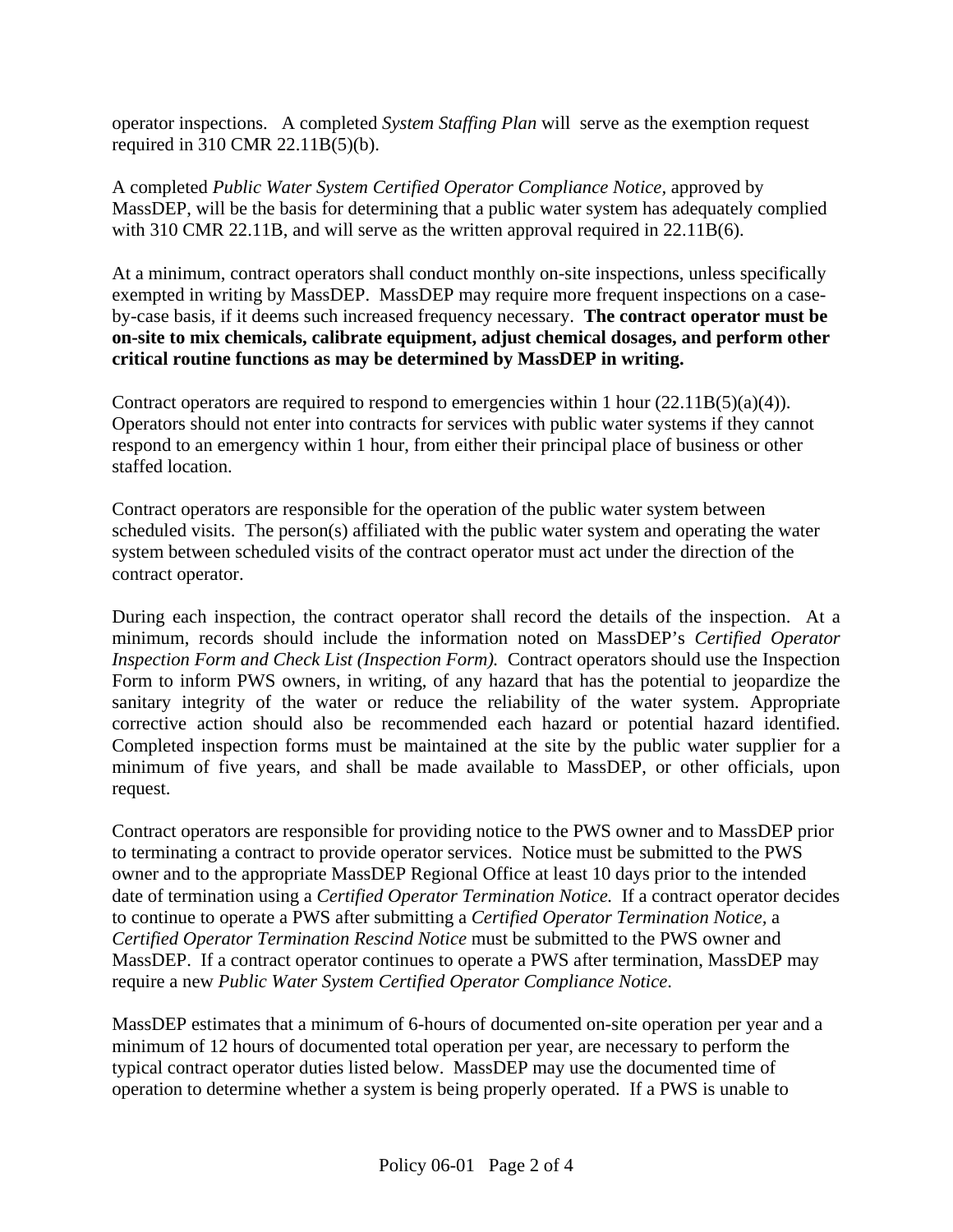operator inspections. A completed *System Staffing Plan* will serve as the exemption request required in 310 CMR 22.11B(5)(b).

A completed *Public Water System Certified Operator Compliance Notice,* approved by MassDEP, will be the basis for determining that a public water system has adequately complied with 310 CMR 22.11B, and will serve as the written approval required in 22.11B(6).

At a minimum, contract operators shall conduct monthly on-site inspections, unless specifically exempted in writing by MassDEP. MassDEP may require more frequent inspections on a caseby-case basis, if it deems such increased frequency necessary. **The contract operator must be on-site to mix chemicals, calibrate equipment, adjust chemical dosages, and perform other critical routine functions as may be determined by MassDEP in writing.** 

Contract operators are required to respond to emergencies within 1 hour  $(22.11B(5)(a)(4))$ . Operators should not enter into contracts for services with public water systems if they cannot respond to an emergency within 1 hour, from either their principal place of business or other staffed location.

Contract operators are responsible for the operation of the public water system between scheduled visits. The person(s) affiliated with the public water system and operating the water system between scheduled visits of the contract operator must act under the direction of the contract operator.

During each inspection, the contract operator shall record the details of the inspection. At a minimum, records should include the information noted on MassDEP's *Certified Operator Inspection Form and Check List (Inspection Form).* Contract operators should use the Inspection Form to inform PWS owners, in writing, of any hazard that has the potential to jeopardize the sanitary integrity of the water or reduce the reliability of the water system. Appropriate corrective action should also be recommended each hazard or potential hazard identified. Completed inspection forms must be maintained at the site by the public water supplier for a minimum of five years, and shall be made available to MassDEP, or other officials, upon request.

Contract operators are responsible for providing notice to the PWS owner and to MassDEP prior to terminating a contract to provide operator services. Notice must be submitted to the PWS owner and to the appropriate MassDEP Regional Office at least 10 days prior to the intended date of termination using a *Certified Operator Termination Notice.* If a contract operator decides to continue to operate a PWS after submitting a *Certified Operator Termination Notice,* a *Certified Operator Termination Rescind Notice* must be submitted to the PWS owner and MassDEP. If a contract operator continues to operate a PWS after termination, MassDEP may require a new *Public Water System Certified Operator Compliance Notice*.

MassDEP estimates that a minimum of 6-hours of documented on-site operation per year and a minimum of 12 hours of documented total operation per year, are necessary to perform the typical contract operator duties listed below. MassDEP may use the documented time of operation to determine whether a system is being properly operated. If a PWS is unable to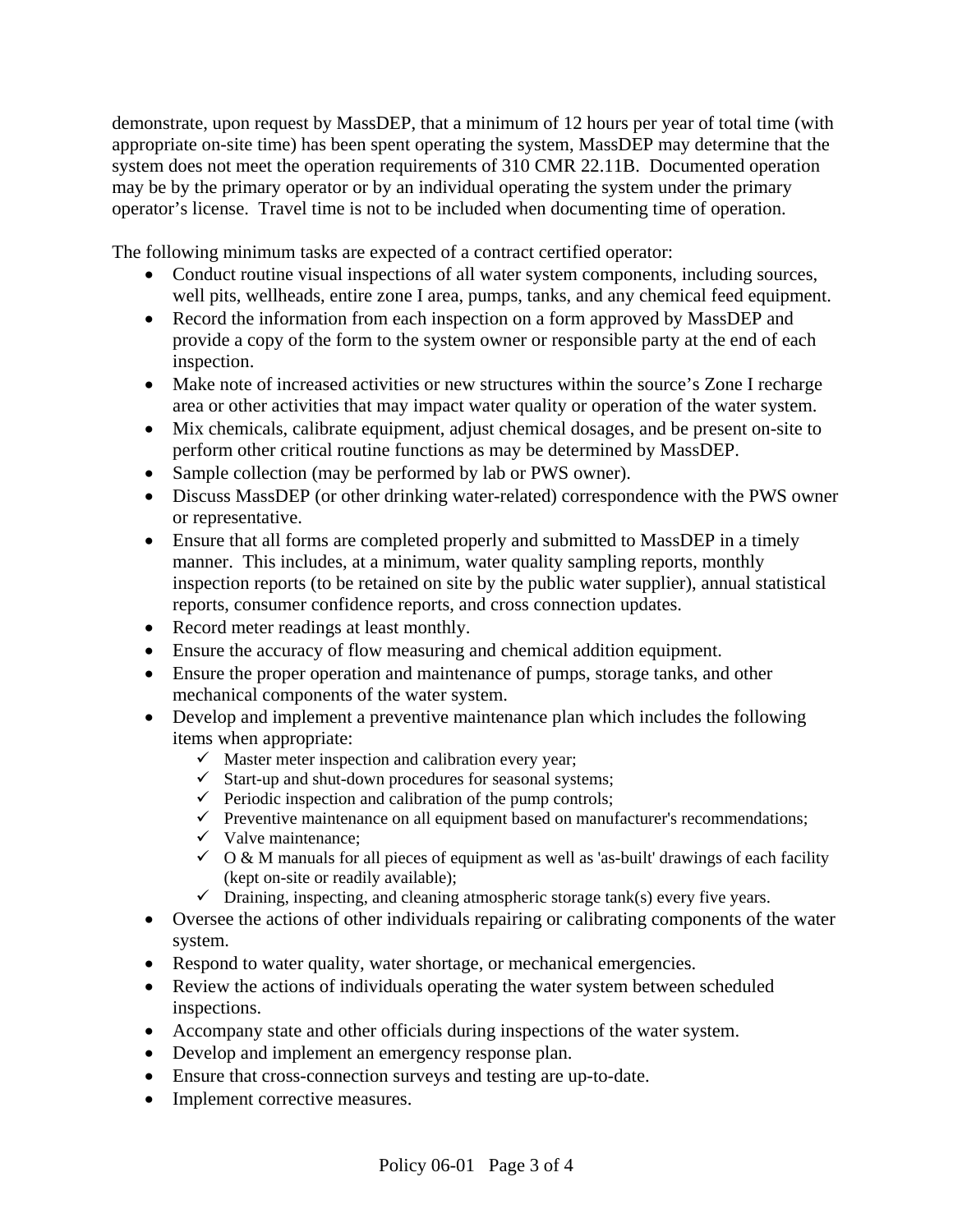demonstrate, upon request by MassDEP, that a minimum of 12 hours per year of total time (with appropriate on-site time) has been spent operating the system, MassDEP may determine that the system does not meet the operation requirements of 310 CMR 22.11B. Documented operation may be by the primary operator or by an individual operating the system under the primary operator's license. Travel time is not to be included when documenting time of operation.

The following minimum tasks are expected of a contract certified operator:

- Conduct routine visual inspections of all water system components, including sources, well pits, wellheads, entire zone I area, pumps, tanks, and any chemical feed equipment.
- Record the information from each inspection on a form approved by MassDEP and provide a copy of the form to the system owner or responsible party at the end of each inspection.
- Make note of increased activities or new structures within the source's Zone I recharge area or other activities that may impact water quality or operation of the water system.
- Mix chemicals, calibrate equipment, adjust chemical dosages, and be present on-site to perform other critical routine functions as may be determined by MassDEP.
- Sample collection (may be performed by lab or PWS owner).
- Discuss MassDEP (or other drinking water-related) correspondence with the PWS owner or representative.
- Ensure that all forms are completed properly and submitted to MassDEP in a timely manner. This includes, at a minimum, water quality sampling reports, monthly inspection reports (to be retained on site by the public water supplier), annual statistical reports, consumer confidence reports, and cross connection updates.
- Record meter readings at least monthly.
- Ensure the accuracy of flow measuring and chemical addition equipment.
- Ensure the proper operation and maintenance of pumps, storage tanks, and other mechanical components of the water system.
- Develop and implement a preventive maintenance plan which includes the following items when appropriate:
	- $\checkmark$  Master meter inspection and calibration every year;
	- $\checkmark$  Start-up and shut-down procedures for seasonal systems;
	- $\checkmark$  Periodic inspection and calibration of the pump controls;
	- $\checkmark$  Preventive maintenance on all equipment based on manufacturer's recommendations;
	- $\checkmark$  Valve maintenance;
	- $\checkmark$  O & M manuals for all pieces of equipment as well as 'as-built' drawings of each facility (kept on-site or readily available);
	- $\checkmark$  Draining, inspecting, and cleaning atmospheric storage tank(s) every five years.
- Oversee the actions of other individuals repairing or calibrating components of the water system.
- Respond to water quality, water shortage, or mechanical emergencies.
- Review the actions of individuals operating the water system between scheduled inspections.
- Accompany state and other officials during inspections of the water system.
- Develop and implement an emergency response plan.
- Ensure that cross-connection surveys and testing are up-to-date.
- Implement corrective measures.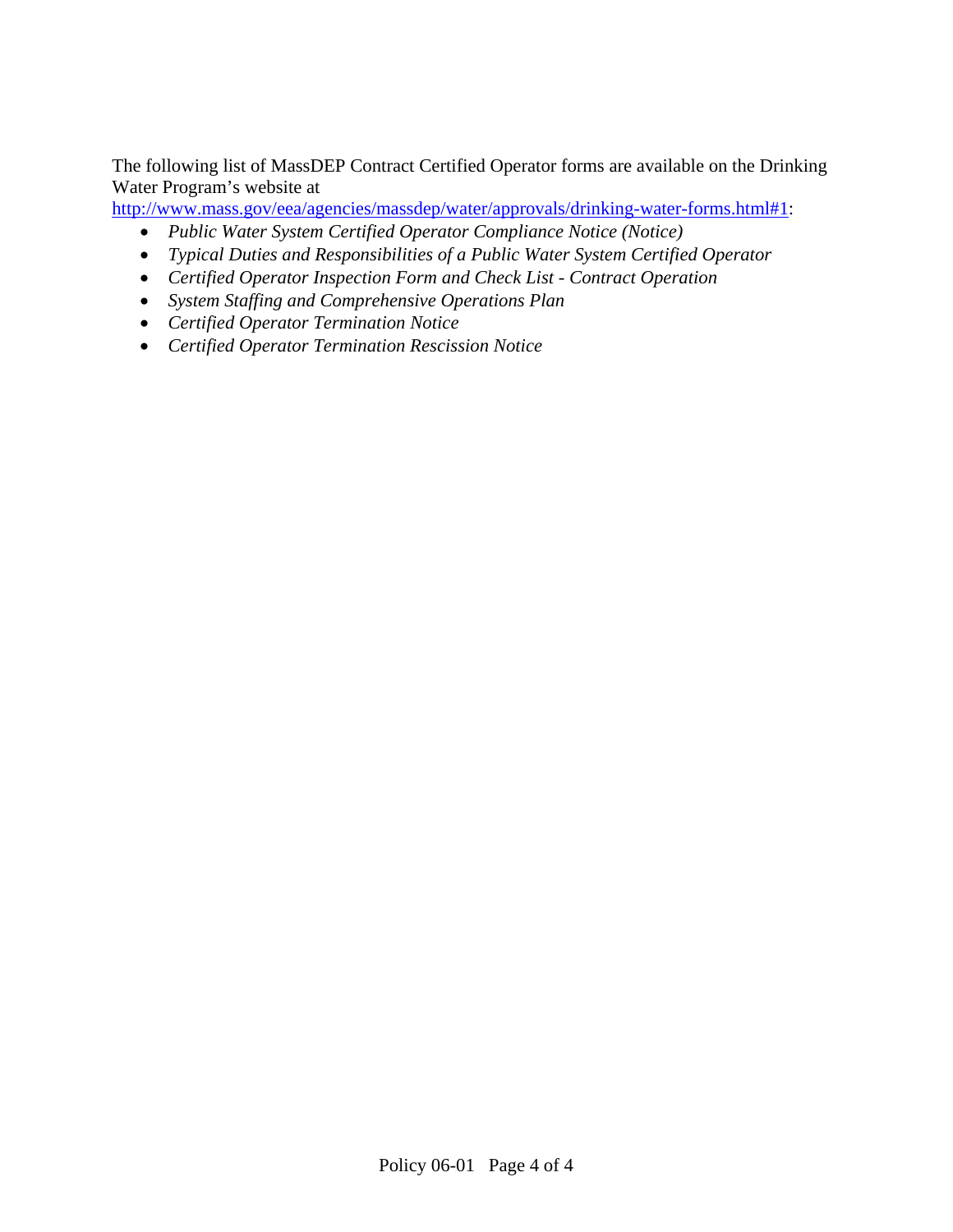The following list of MassDEP Contract Certified Operator forms are available on the Drinking Water Program's website at

http://www.mass.gov/eea/agencies/massdep/water/approvals/drinking-water-forms.html#1:

- *Public Water System Certified Operator Compliance Notice (Notice)*
- *Typical Duties and Responsibilities of a Public Water System Certified Operator*
- *Certified Operator Inspection Form and Check List Contract Operation*
- *System Staffing and Comprehensive Operations Plan*
- *Certified Operator Termination Notice*
- *Certified Operator Termination Rescission Notice*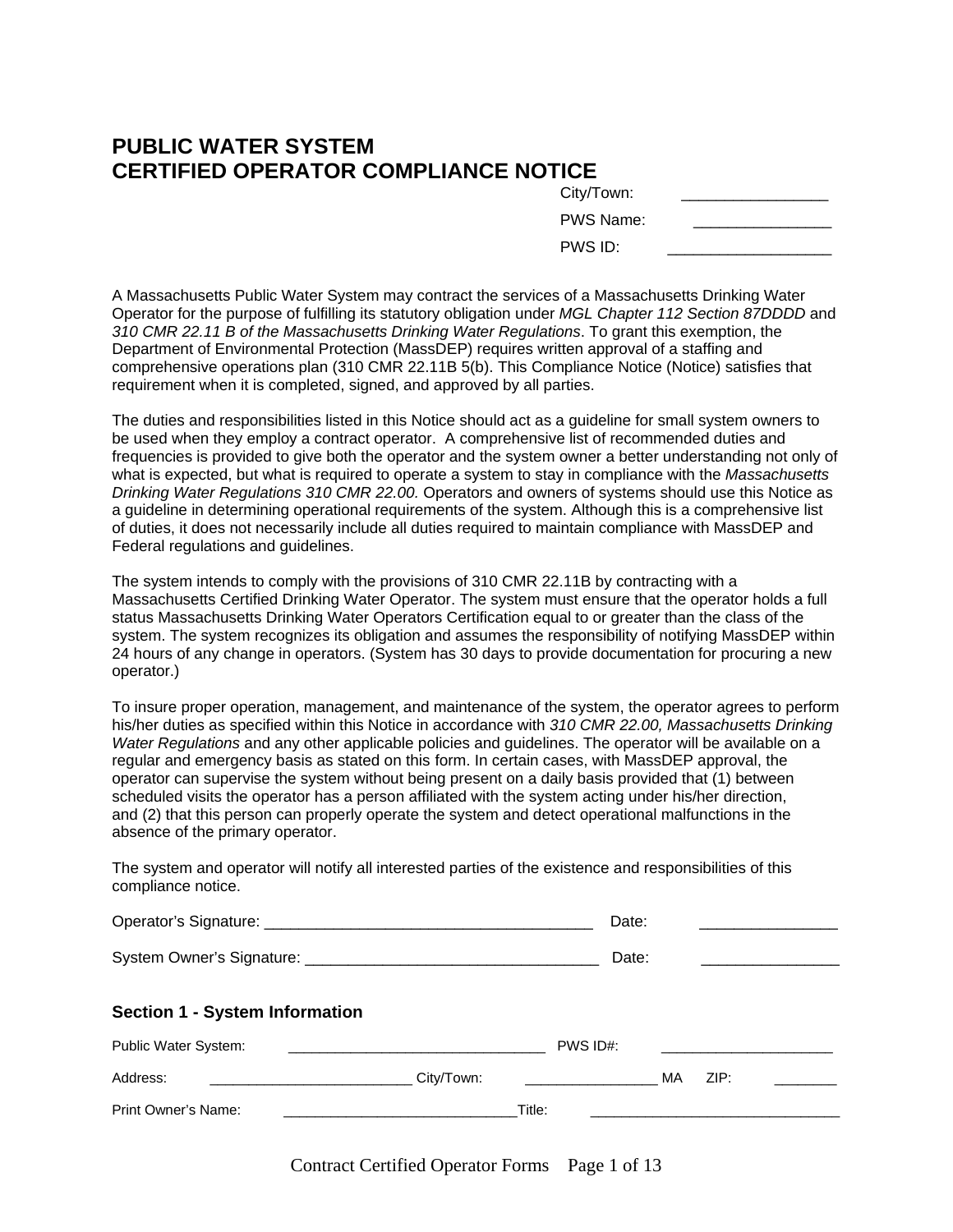### **PUBLIC WATER SYSTEM CERTIFIED OPERATOR COMPLIANCE NOTICE**

| City/Town: |  |
|------------|--|
| PWS Name:  |  |
| PWS ID:    |  |

A Massachusetts Public Water System may contract the services of a Massachusetts Drinking Water Operator for the purpose of fulfilling its statutory obligation under *MGL Chapter 112 Section 87DDDD* and *310 CMR 22.11 B of the Massachusetts Drinking Water Regulations*. To grant this exemption, the Department of Environmental Protection (MassDEP) requires written approval of a staffing and comprehensive operations plan (310 CMR 22.11B 5(b). This Compliance Notice (Notice) satisfies that requirement when it is completed, signed, and approved by all parties.

The duties and responsibilities listed in this Notice should act as a guideline for small system owners to be used when they employ a contract operator. A comprehensive list of recommended duties and frequencies is provided to give both the operator and the system owner a better understanding not only of what is expected, but what is required to operate a system to stay in compliance with the *Massachusetts Drinking Water Regulations 310 CMR 22.00.* Operators and owners of systems should use this Notice as a guideline in determining operational requirements of the system. Although this is a comprehensive list of duties, it does not necessarily include all duties required to maintain compliance with MassDEP and Federal regulations and guidelines.

The system intends to comply with the provisions of 310 CMR 22.11B by contracting with a Massachusetts Certified Drinking Water Operator. The system must ensure that the operator holds a full status Massachusetts Drinking Water Operators Certification equal to or greater than the class of the system. The system recognizes its obligation and assumes the responsibility of notifying MassDEP within 24 hours of any change in operators. (System has 30 days to provide documentation for procuring a new operator.)

To insure proper operation, management, and maintenance of the system, the operator agrees to perform his/her duties as specified within this Notice in accordance with *310 CMR 22.00, Massachusetts Drinking Water Regulations* and any other applicable policies and guidelines. The operator will be available on a regular and emergency basis as stated on this form. In certain cases, with MassDEP approval, the operator can supervise the system without being present on a daily basis provided that (1) between scheduled visits the operator has a person affiliated with the system acting under his/her direction, and (2) that this person can properly operate the system and detect operational malfunctions in the absence of the primary operator.

The system and operator will notify all interested parties of the existence and responsibilities of this compliance notice.

| Operator's Signature: | Date.<br>. |  |
|-----------------------|------------|--|
|                       |            |  |

| <b>System Owner's Signature:</b> |  |  |
|----------------------------------|--|--|
|----------------------------------|--|--|

### **Section 1 - System Information**

| Public Water System: |            | PWS ID#: |      |  |
|----------------------|------------|----------|------|--|
| Address:             | City/Town: | МA       | ZIP: |  |
| Print Owner's Name:  | Title:     |          |      |  |

Contract Certified Operator Forms Page 1 of 13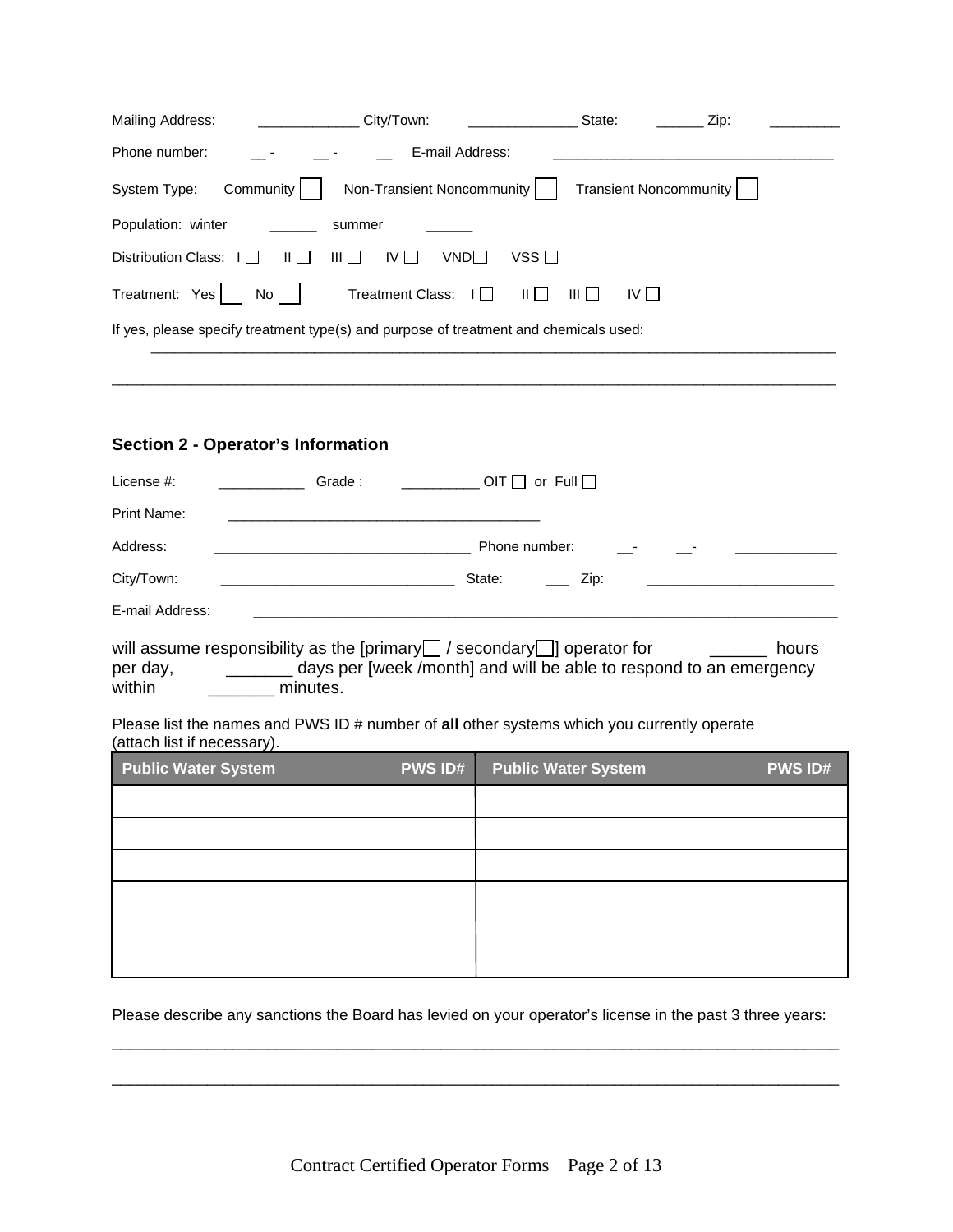| Mailing Address:                      | City/Town:                                                                            | State:                          | Zip: |
|---------------------------------------|---------------------------------------------------------------------------------------|---------------------------------|------|
| Phone number:                         | E-mail Address:                                                                       |                                 |      |
| System Type:<br>Community             | Non-Transient Noncommunity                                                            | <b>Transient Noncommunity</b>   |      |
| Population: winter                    | summer                                                                                |                                 |      |
| Distribution Class: I<br>$\mathbf{H}$ | $VSS \Box$<br>IV I I<br>VNDI I<br>$III \cup I$                                        |                                 |      |
| Treatment: Yes<br>No l                | <b>Treatment Class:</b><br>   <br>$\Box$                                              | $III$ $\Box$<br>IV <sub>1</sub> |      |
|                                       | If yes, please specify treatment type(s) and purpose of treatment and chemicals used: |                                 |      |

 $\overline{a}$  , and the state of the state of the state of the state of the state of the state of the state of the state of the state of the state of the state of the state of the state of the state of the state of the state o

### **Section 2 - Operator's Information**

| License #:      | Grade: | $\Box$ OIT $\Box$ or Full $\Box$ |  |
|-----------------|--------|----------------------------------|--|
| Print Name:     |        |                                  |  |
| Address:        |        | Phone number:<br>$\sim 100$      |  |
| City/Town:      |        | State:<br>Zip:                   |  |
| E-mail Address: |        |                                  |  |

|          | will assume responsibility as the [primary $\Box$ / secondary $\Box$ ] operator for | hours |
|----------|-------------------------------------------------------------------------------------|-------|
| per day, | days per [week /month] and will be able to respond to an emergency                  |       |
| within   | minutes.                                                                            |       |

Please list the names and PWS ID # number of **all** other systems which you currently operate (attach list if necessary). 

| <b>Public Water System</b> | <b>PWS ID#</b> | <b>Public Water System</b> | <b>PWS ID#</b> |
|----------------------------|----------------|----------------------------|----------------|
|                            |                |                            |                |
|                            |                |                            |                |
|                            |                |                            |                |
|                            |                |                            |                |
|                            |                |                            |                |
|                            |                |                            |                |

Please describe any sanctions the Board has levied on your operator's license in the past 3 three years:

\_\_\_\_\_\_\_\_\_\_\_\_\_\_\_\_\_\_\_\_\_\_\_\_\_\_\_\_\_\_\_\_\_\_\_\_\_\_\_\_\_\_\_\_\_\_\_\_\_\_\_\_\_\_\_\_\_\_\_\_\_\_\_\_\_\_\_\_\_\_\_\_\_\_\_\_\_\_\_\_\_\_\_\_

\_\_\_\_\_\_\_\_\_\_\_\_\_\_\_\_\_\_\_\_\_\_\_\_\_\_\_\_\_\_\_\_\_\_\_\_\_\_\_\_\_\_\_\_\_\_\_\_\_\_\_\_\_\_\_\_\_\_\_\_\_\_\_\_\_\_\_\_\_\_\_\_\_\_\_\_\_\_\_\_\_\_\_\_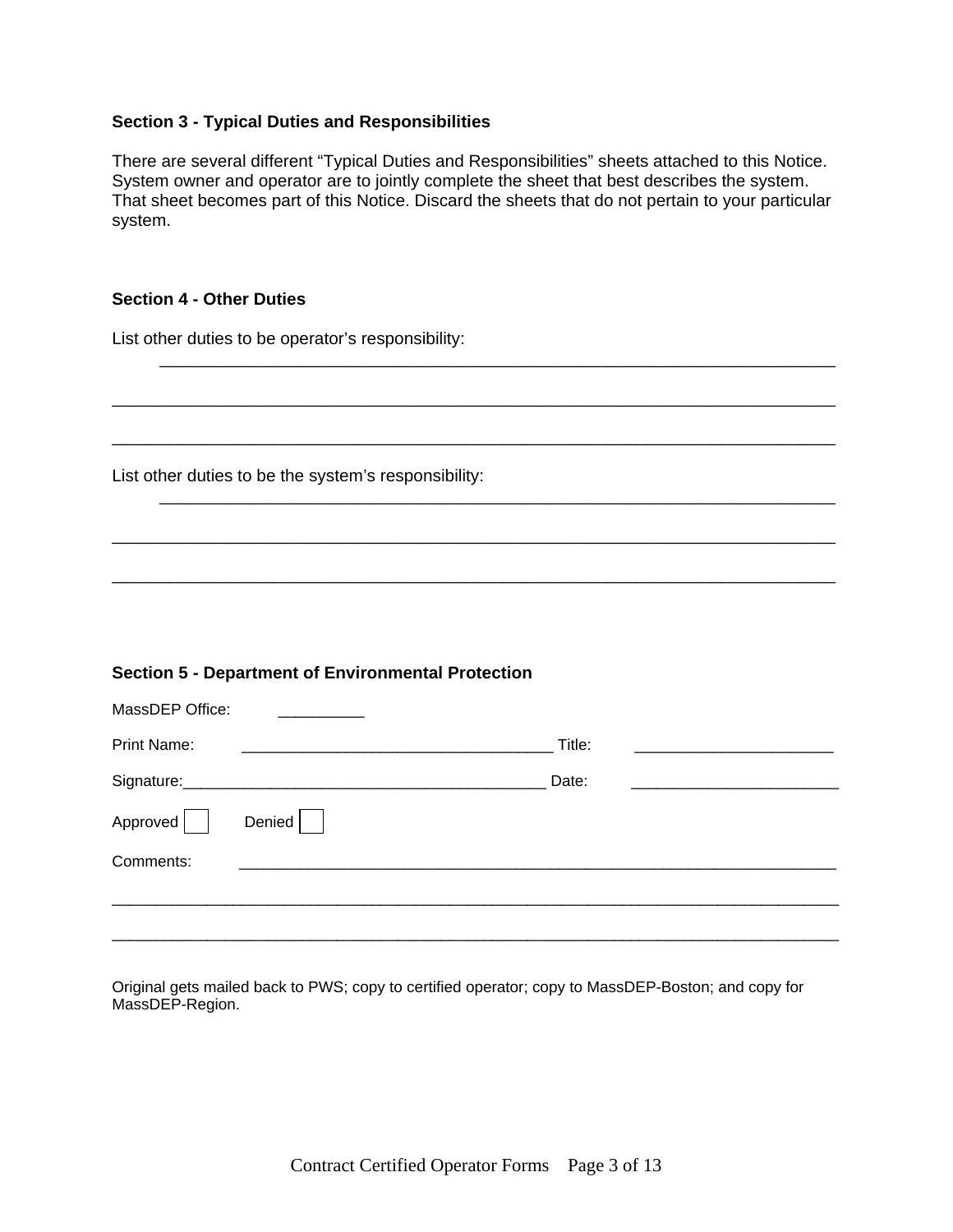### **Section 3 - Typical Duties and Responsibilities**

There are several different "Typical Duties and Responsibilities" sheets attached to this Notice. System owner and operator are to jointly complete the sheet that best describes the system. That sheet becomes part of this Notice. Discard the sheets that do not pertain to your particular system.

 $\frac{1}{\sqrt{2}}$  , and the contract of the contract of the contract of the contract of the contract of the contract of the contract of the contract of the contract of the contract of the contract of the contract of the contra

\_\_\_\_\_\_\_\_\_\_\_\_\_\_\_\_\_\_\_\_\_\_\_\_\_\_\_\_\_\_\_\_\_\_\_\_\_\_\_\_\_\_\_\_\_\_\_\_\_\_\_\_\_\_\_\_\_\_\_\_\_\_\_\_\_\_\_\_\_\_\_\_\_\_\_\_

\_\_\_\_\_\_\_\_\_\_\_\_\_\_\_\_\_\_\_\_\_\_\_\_\_\_\_\_\_\_\_\_\_\_\_\_\_\_\_\_\_\_\_\_\_\_\_\_\_\_\_\_\_\_\_\_\_\_\_\_\_\_\_\_\_\_\_\_\_\_\_\_\_\_\_\_

 $\frac{1}{\sqrt{2}}$  , and the contract of the contract of the contract of the contract of the contract of the contract of the contract of the contract of the contract of the contract of the contract of the contract of the contra

\_\_\_\_\_\_\_\_\_\_\_\_\_\_\_\_\_\_\_\_\_\_\_\_\_\_\_\_\_\_\_\_\_\_\_\_\_\_\_\_\_\_\_\_\_\_\_\_\_\_\_\_\_\_\_\_\_\_\_\_\_\_\_\_\_\_\_\_\_\_\_\_\_\_\_\_

\_\_\_\_\_\_\_\_\_\_\_\_\_\_\_\_\_\_\_\_\_\_\_\_\_\_\_\_\_\_\_\_\_\_\_\_\_\_\_\_\_\_\_\_\_\_\_\_\_\_\_\_\_\_\_\_\_\_\_\_\_\_\_\_\_\_\_\_\_\_\_\_\_\_\_\_

### **Section 4 - Other Duties**

List other duties to be operator's responsibility:

List other duties to be the system's responsibility:

### **Section 5 - Department of Environmental Protection**

| MassDEP Office: |        |  |        |  |
|-----------------|--------|--|--------|--|
| Print Name:     |        |  | Title: |  |
| Signature:      |        |  | Date:  |  |
| Approved        | Denied |  |        |  |
| Comments:       |        |  |        |  |
|                 |        |  |        |  |
|                 |        |  |        |  |

Original gets mailed back to PWS; copy to certified operator; copy to MassDEP-Boston; and copy for MassDEP-Region.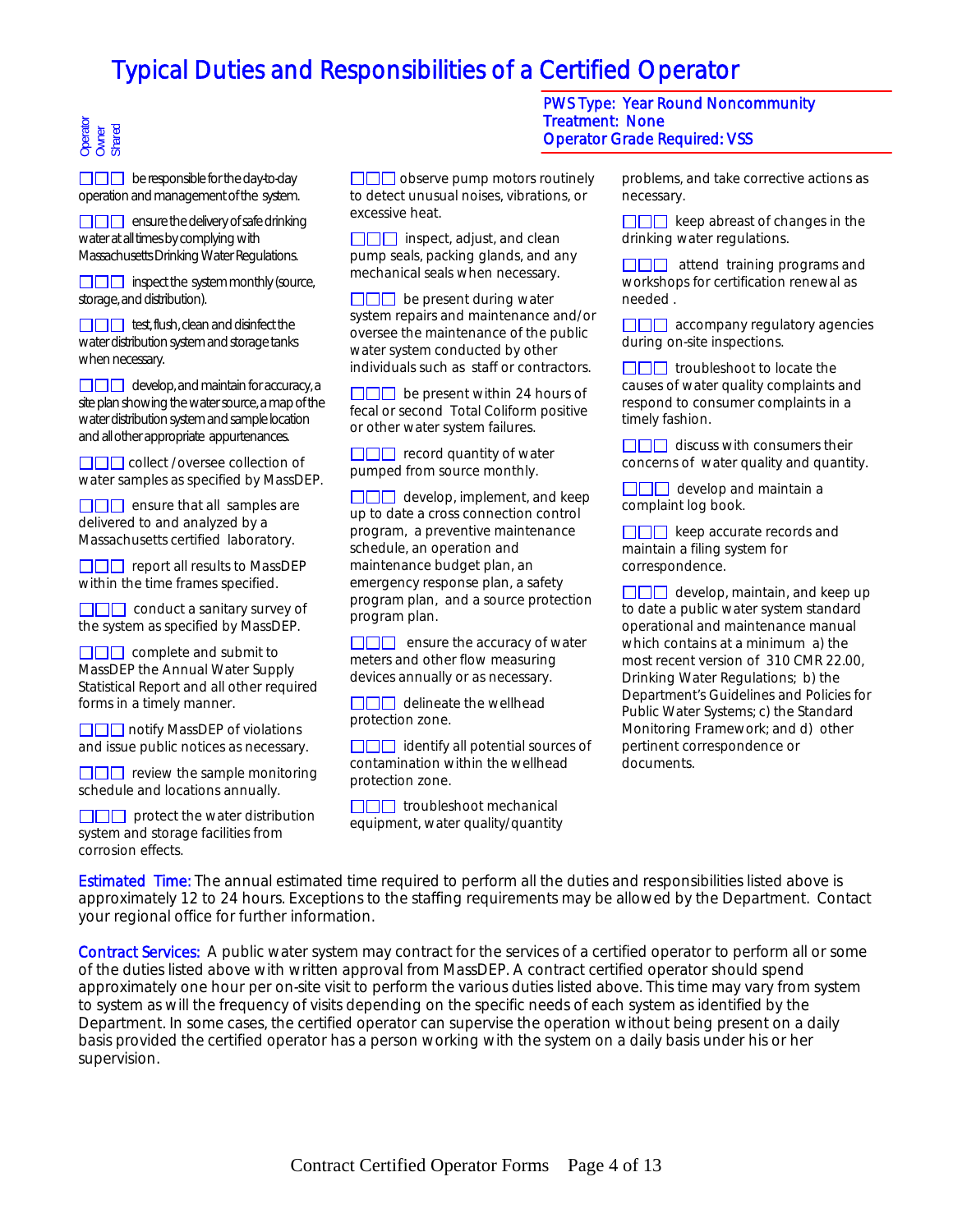# Operator Owner Shared

 $\Box$  $\Box$  be responsible for the day-to-day operation and management of the system.

 $\square \square \square$  ensure the delivery of safe drinking water at all times by complying with Massachusetts Drinking Water Regulations.

**IIII** inspect the system monthly (source, storage, and distribution).

 $\Box$  $\Box$  test, flush, clean and disinfect the water distribution system and storage tanks when necessary.

 $\Box$  develop, and maintain for accuracy, a site plan showing the water source, a map of the water distribution system and sample location and all other appropriate appurtenances.

**COL** collect /oversee collection of water samples as specified by MassDEP.

 $\Box$  ensure that all samples are delivered to and analyzed by a Massachusetts certified laboratory.

 $\Box$  report all results to MassDEP within the time frames specified.

 $\Box$  $\Box$  conduct a sanitary survey of the system as specified by MassDEP.

 $\Box \Box \Box$  complete and submit to MassDEP the Annual Water Supply Statistical Report and all other required forms in a timely manner.

□□□ notify MassDEP of violations and issue public notices as necessary.

 $\Box$  review the sample monitoring schedule and locations annually.

 $\Box$  protect the water distribution system and storage facilities from corrosion effects.

 $\square\square\square$  observe pump motors routinely to detect unusual noises, vibrations, or excessive heat.

 $\Box$  inspect, adjust, and clean pump seals, packing glands, and any mechanical seals when necessary.

 $\Box$  be present during water system repairs and maintenance and/or oversee the maintenance of the public water system conducted by other individuals such as staff or contractors.

 $\Box$  be present within 24 hours of fecal or second Total Coliform positive or other water system failures.

 $\Box$  $\Box$  record quantity of water pumped from source monthly.

 $\Box$  develop, implement, and keep up to date a cross connection control program, a preventive maintenance schedule, an operation and maintenance budget plan, an emergency response plan, a safety program plan, and a source protection program plan.

 $\Box$  ensure the accuracy of water meters and other flow measuring devices annually or as necessary.

 $\Box$  $\Box$  delineate the wellhead protection zone.

 $\Box$  identify all potential sources of contamination within the wellhead protection zone.

 $\Box \Box \Box$  troubleshoot mechanical equipment, water quality/quantity

PWS Type: Year Round Noncommunity Treatment: None Operator Grade Required: VSS

> problems, and take corrective actions as necessary.

> $\Box$  $\Box$  keep abreast of changes in the drinking water regulations.

> $\Box$  $\Box$  attend training programs and workshops for certification renewal as needed .

 $\Box$  $\Box$  accompany regulatory agencies during on-site inspections.

 $\Box$  $\Box$  troubleshoot to locate the causes of water quality complaints and respond to consumer complaints in a timely fashion.

 $\square\square\square$  discuss with consumers their concerns of water quality and quantity.

 $\Box \Box \Box$  develop and maintain a complaint log book.

 $\square\square\square$  keep accurate records and maintain a filing system for correspondence.

 $\Box$  develop, maintain, and keep up to date a public water system standard operational and maintenance manual which contains at a minimum a) the most recent version of 310 CMR 22.00, Drinking Water Regulations; b) the Department's Guidelines and Policies for Public Water Systems; c) the Standard Monitoring Framework; and d) other pertinent correspondence or documents.

Estimated Time: The annual estimated time required to perform all the duties and responsibilities listed above is approximately 12 to 24 hours. Exceptions to the staffing requirements may be allowed by the Department. Contact your regional office for further information.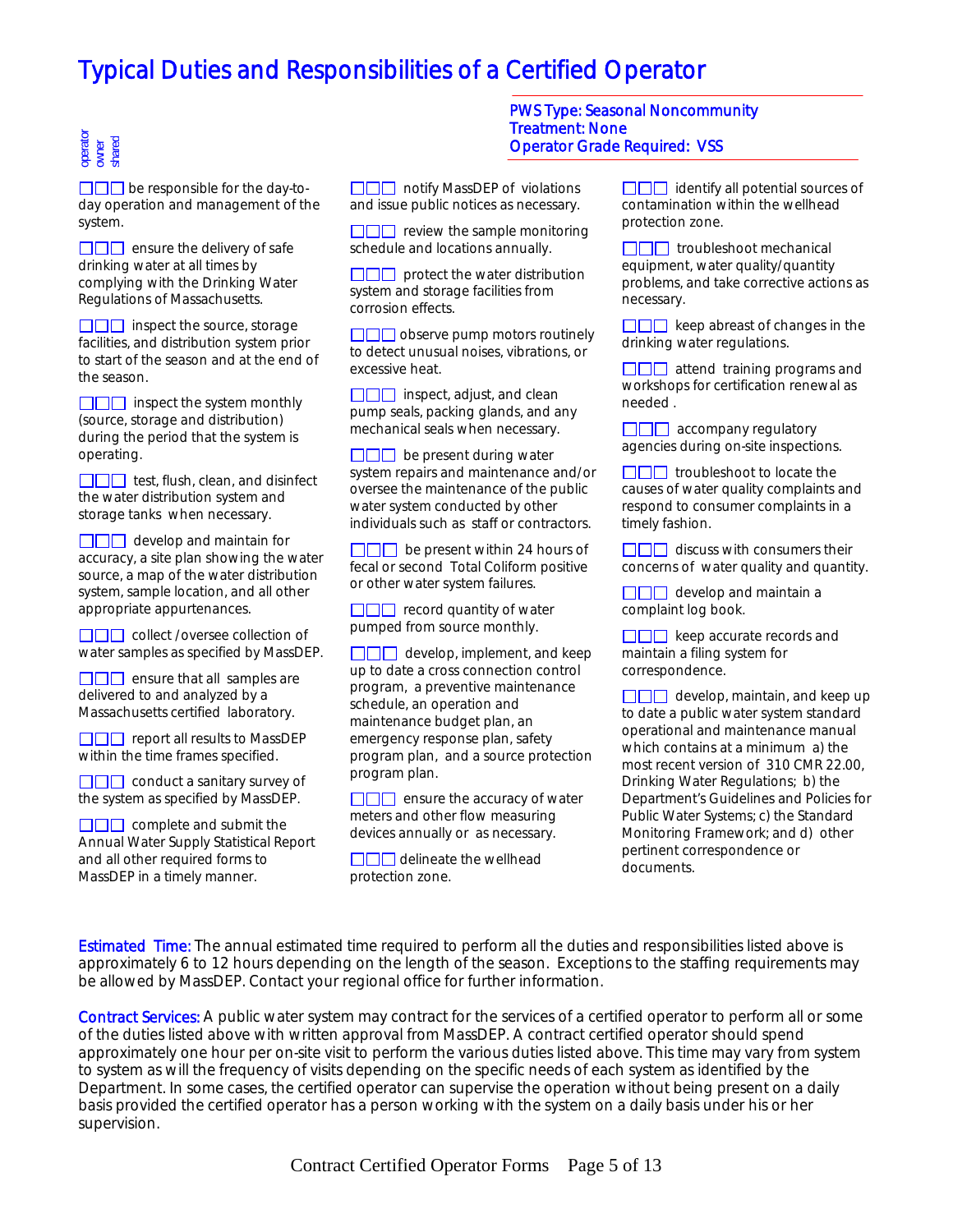# operator owner shared

 $\square \square \square$  be responsible for the day-today operation and management of the system.

 $\Box$  ensure the delivery of safe drinking water at all times by complying with the Drinking Water Regulations of Massachusetts.

 $\Box$  inspect the source, storage facilities, and distribution system prior to start of the season and at the end of the season.

 $\Box$  inspect the system monthly (source, storage and distribution) during the period that the system is operating.

 $\Box$  test, flush, clean, and disinfect the water distribution system and storage tanks when necessary.

 $\Box$  develop and maintain for accuracy, a site plan showing the water source, a map of the water distribution system, sample location, and all other appropriate appurtenances.

**COO** collect /oversee collection of water samples as specified by MassDEP.

 $\Box \Box \Box$  ensure that all samples are delivered to and analyzed by a Massachusetts certified laboratory.

 $\Box \Box \Box$  report all results to MassDEP within the time frames specified.

 $\Box$  $\Box$  conduct a sanitary survey of the system as specified by MassDEP.

 $\Box \Box \Box$  complete and submit the Annual Water Supply Statistical Report and all other required forms to MassDEP in a timely manner.

□□□ notify MassDEP of violations and issue public notices as necessary.

 $\square \square \square$  review the sample monitoring schedule and locations annually.

 $\square \square \square$  protect the water distribution system and storage facilities from corrosion effects.

 $\Box$  $\Box$  observe pump motors routinely to detect unusual noises, vibrations, or excessive heat.

 $\Box$  inspect, adjust, and clean pump seals, packing glands, and any mechanical seals when necessary.

 $\Box$  $\Box$  be present during water system repairs and maintenance and/or oversee the maintenance of the public water system conducted by other individuals such as staff or contractors.

 $\Box$  be present within 24 hours of fecal or second Total Coliform positive or other water system failures.

 $\Box$  record quantity of water pumped from source monthly.

 $\Box$  $\Box$  develop, implement, and keep up to date a cross connection control program, a preventive maintenance schedule, an operation and maintenance budget plan, an emergency response plan, safety program plan, and a source protection program plan.

 $\Box$  ensure the accuracy of water meters and other flow measuring devices annually or as necessary.

 $\Box \Box \Box$  delineate the wellhead protection zone.

#### PWS Type: Seasonal Noncommunity Treatment: None Operator Grade Required: VSS

 $\Box$  $\Box$  identify all potential sources of contamination within the wellhead protection zone.

 $\Box$  $\Box$  troubleshoot mechanical equipment, water quality/quantity problems, and take corrective actions as necessary.

 $\Box$  $\Box$  keep abreast of changes in the drinking water regulations.

 $\Box$  attend training programs and workshops for certification renewal as needed .

 $\Box$  accompany regulatory agencies during on-site inspections.

 $\Box$  $\Box$  troubleshoot to locate the causes of water quality complaints and respond to consumer complaints in a timely fashion.

 $\Box \Box \Box$  discuss with consumers their concerns of water quality and quantity.

 $\Box$  develop and maintain a complaint log book.

 $\square \square \square$  keep accurate records and maintain a filing system for correspondence.

 $\Box$  develop, maintain, and keep up to date a public water system standard operational and maintenance manual which contains at a minimum a) the most recent version of 310 CMR 22.00, Drinking Water Regulations; b) the Department's Guidelines and Policies for Public Water Systems; c) the Standard Monitoring Framework; and d) other pertinent correspondence or documents.

**Estimated Time:** The annual estimated time required to perform all the duties and responsibilities listed above is approximately 6 to 12 hours depending on the length of the season. Exceptions to the staffing requirements may be allowed by MassDEP. Contact your regional office for further information.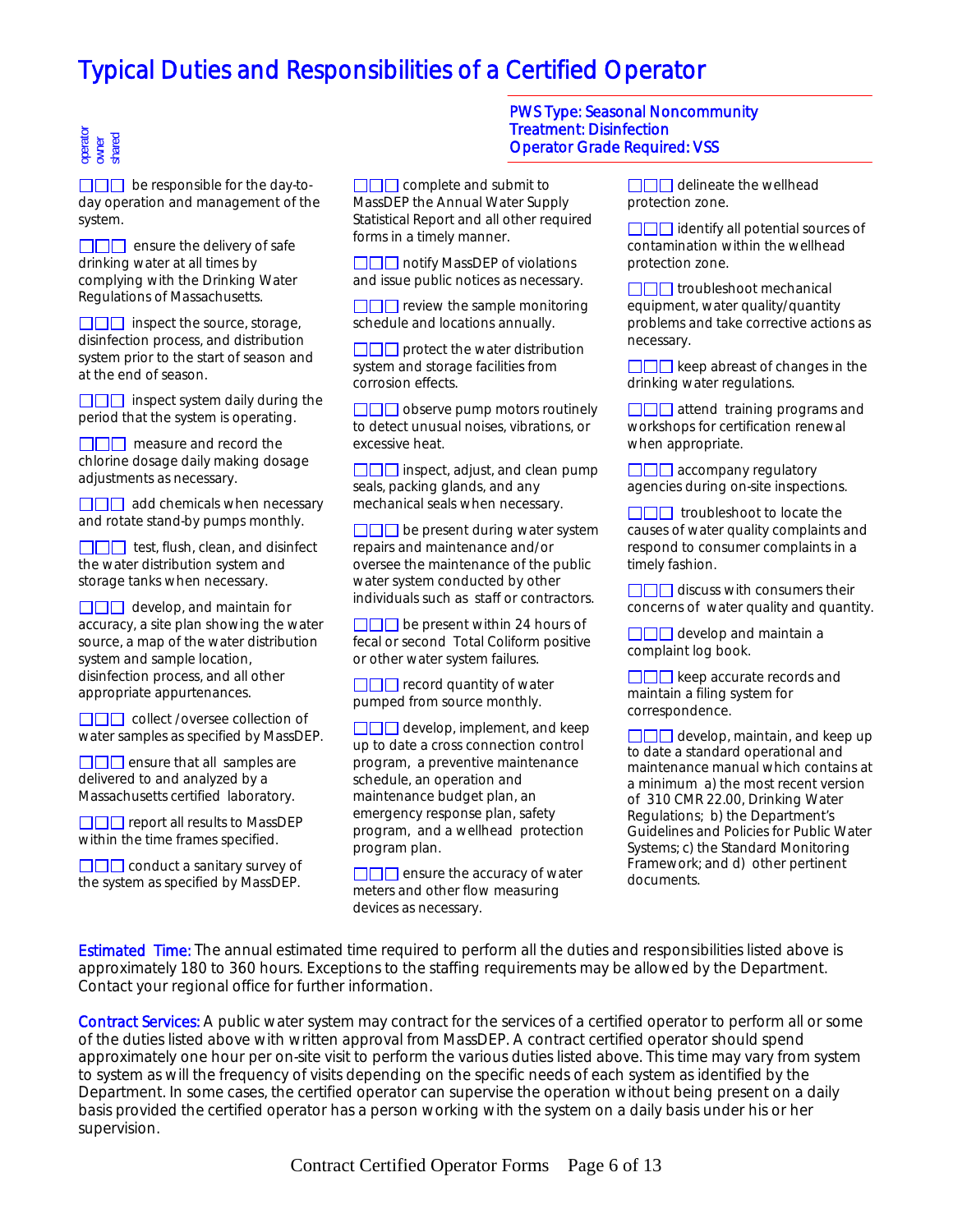## operator owner shared

 $\square \square \square$  be responsible for the day-today operation and management of the system.

 $\Box$  ensure the delivery of safe drinking water at all times by complying with the Drinking Water Regulations of Massachusetts.

 $\Box$  $\Box$  inspect the source, storage, disinfection process, and distribution system prior to the start of season and at the end of season.

 $\Box$  inspect system daily during the period that the system is operating.

 $\Box$  measure and record the chlorine dosage daily making dosage adjustments as necessary.

 $\Box$  $\Box$  add chemicals when necessary and rotate stand-by pumps monthly.

 $\Box \Box \Box$  test, flush, clean, and disinfect the water distribution system and storage tanks when necessary.

 $\Box$  develop, and maintain for accuracy, a site plan showing the water source, a map of the water distribution system and sample location, disinfection process, and all other appropriate appurtenances.

**COL** collect /oversee collection of water samples as specified by MassDEP.

 $\Box$  ensure that all samples are delivered to and analyzed by a Massachusetts certified laboratory.

 $\square\square\square$  report all results to MassDEP within the time frames specified.

**COO** conduct a sanitary survey of the system as specified by MassDEP.

 $\Box$  $\Box$  complete and submit to MassDEP the Annual Water Supply Statistical Report and all other required forms in a timely manner.

 $\Box \Box \Box$  notify MassDEP of violations and issue public notices as necessary.

 $\square\square\square$  review the sample monitoring schedule and locations annually.

 $\square \square \square$  protect the water distribution system and storage facilities from corrosion effects.

 $\square\square\square$  observe pump motors routinely to detect unusual noises, vibrations, or excessive heat.

 $\Box$  inspect, adjust, and clean pump seals, packing glands, and any mechanical seals when necessary.

 $\square \square \square$  be present during water system repairs and maintenance and/or oversee the maintenance of the public water system conducted by other individuals such as staff or contractors.

 $\Box$  $\Box$  be present within 24 hours of fecal or second Total Coliform positive or other water system failures.

 $\Box$  $\Box$  record quantity of water pumped from source monthly.

 $\Box$  $\Box$  develop, implement, and keep up to date a cross connection control program, a preventive maintenance schedule, an operation and maintenance budget plan, an emergency response plan, safety program, and a wellhead protection program plan.

 $\square\square\square$  ensure the accuracy of water meters and other flow measuring devices as necessary.

#### PWS Type: Seasonal Noncommunity Treatment: Disinfection Operator Grade Required: VSS

 $\Box$  $\Box$  delineate the wellhead protection zone.

 $\square \square \square$  identify all potential sources of contamination within the wellhead protection zone.

 $\Box$  $\Box$  troubleshoot mechanical equipment, water quality/quantity problems and take corrective actions as necessary.

 $\square \square \square$  keep abreast of changes in the drinking water regulations.

 $\Box$  attend training programs and workshops for certification renewal when appropriate.

 $\Box$  $\Box$  accompany regulatory agencies during on-site inspections.

 $\Box$  $\Box$  troubleshoot to locate the causes of water quality complaints and respond to consumer complaints in a timely fashion.

 $\Box$  $\Box$  discuss with consumers their concerns of water quality and quantity.

 $\Box$  $\Box$  develop and maintain a complaint log book.

 $\square\square\square$  keep accurate records and maintain a filing system for correspondence.

 $\Box$  develop, maintain, and keep up to date a standard operational and maintenance manual which contains at a minimum a) the most recent version of 310 CMR 22.00, Drinking Water Regulations; b) the Department's Guidelines and Policies for Public Water Systems; c) the Standard Monitoring Framework; and d) other pertinent documents.

Estimated Time: The annual estimated time required to perform all the duties and responsibilities listed above is approximately 180 to 360 hours. Exceptions to the staffing requirements may be allowed by the Department. Contact your regional office for further information.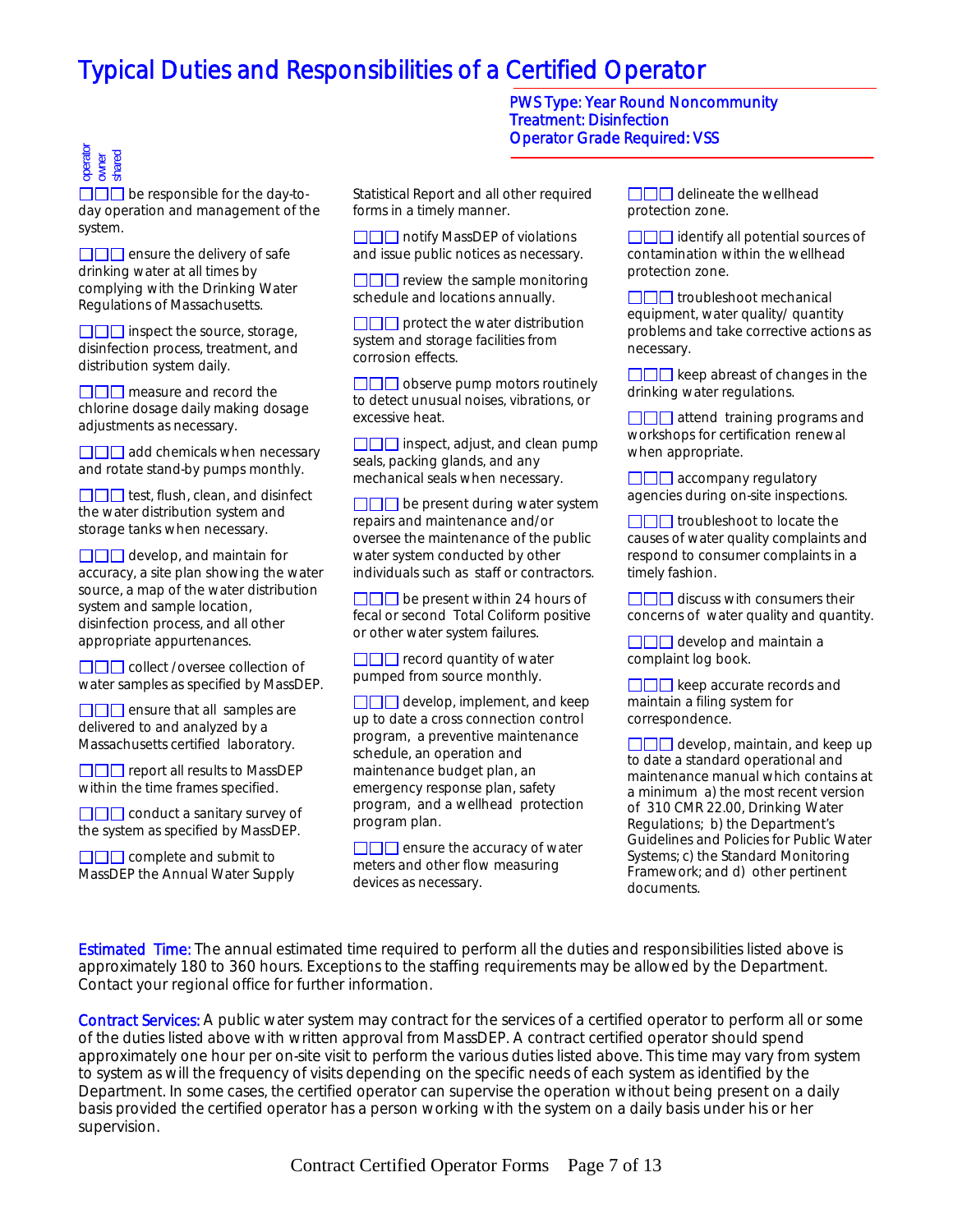#### Treatment: Disinfection Operator Grade Required: VSS I PWS Type: Year Round Noncommunity

# operator owner shared

 $\Box$  be responsible for the day-today operation and management of the system.

 $\Box$  ensure the delivery of safe drinking water at all times by complying with the Drinking Water Regulations of Massachusetts.

 $\Box$  inspect the source, storage, disinfection process, treatment, and distribution system daily.

 $\Box$  measure and record the chlorine dosage daily making dosage adjustments as necessary.

 $\square\square\square$  add chemicals when necessary and rotate stand-by pumps monthly.

 $\Box$  $\Box$  test, flush, clean, and disinfect the water distribution system and storage tanks when necessary.

 $\Box$  $\Box$  develop, and maintain for accuracy, a site plan showing the water source, a map of the water distribution system and sample location, disinfection process, and all other appropriate appurtenances.

**COO** collect /oversee collection of water samples as specified by MassDEP.

 $\Box$  ensure that all samples are delivered to and analyzed by a Massachusetts certified laboratory.

**DOD** report all results to MassDEP within the time frames specified.

 $\square\square\square$  conduct a sanitary survey of the system as specified by MassDEP.

 $\Box$  $\Box$  complete and submit to MassDEP the Annual Water Supply Statistical Report and all other required forms in a timely manner.

□□□ notify MassDEP of violations and issue public notices as necessary.

 $\square \square \square$  review the sample monitoring schedule and locations annually.

 $\square \square \square$  protect the water distribution system and storage facilities from corrosion effects.

 $\Box$  $\Box$  observe pump motors routinely to detect unusual noises, vibrations, or excessive heat.

 $\square\square\square$  inspect, adjust, and clean pump seals, packing glands, and any mechanical seals when necessary.

 $\square \square \square$  be present during water system repairs and maintenance and/or oversee the maintenance of the public water system conducted by other individuals such as staff or contractors.

 $\Box$  be present within 24 hours of fecal or second Total Coliform positive or other water system failures.

 $\Box$  record quantity of water pumped from source monthly.

 $\Box$  develop, implement, and keep up to date a cross connection control program, a preventive maintenance schedule, an operation and maintenance budget plan, an emergency response plan, safety program, and a wellhead protection program plan.

 $\Box$  ensure the accuracy of water meters and other flow measuring devices as necessary.

 $\Box$  $\Box$  delineate the wellhead protection zone.

 $\square\square\square$  identify all potential sources of contamination within the wellhead protection zone.

 $\square \square \square$  troubleshoot mechanical equipment, water quality/ quantity problems and take corrective actions as necessary.

 $\Box \Box \Box$  keep abreast of changes in the drinking water regulations.

 $\Box$  $\Box$  attend training programs and workshops for certification renewal when appropriate.

 $\Box$  $\Box$  accompany regulatory agencies during on-site inspections.

 $\Box$  $\Box$  troubleshoot to locate the causes of water quality complaints and respond to consumer complaints in a timely fashion.

 $\Box$  $\Box$  discuss with consumers their concerns of water quality and quantity.

 $\Box$  $\Box$  develop and maintain a complaint log book.

 $\square\square\square$  keep accurate records and maintain a filing system for correspondence.

 $\square \square \square$  develop, maintain, and keep up to date a standard operational and maintenance manual which contains at a minimum a) the most recent version of 310 CMR 22.00, Drinking Water Regulations; b) the Department's Guidelines and Policies for Public Water Systems; c) the Standard Monitoring Framework; and d) other pertinent documents.

Estimated Time: The annual estimated time required to perform all the duties and responsibilities listed above is approximately 180 to 360 hours. Exceptions to the staffing requirements may be allowed by the Department. Contact your regional office for further information.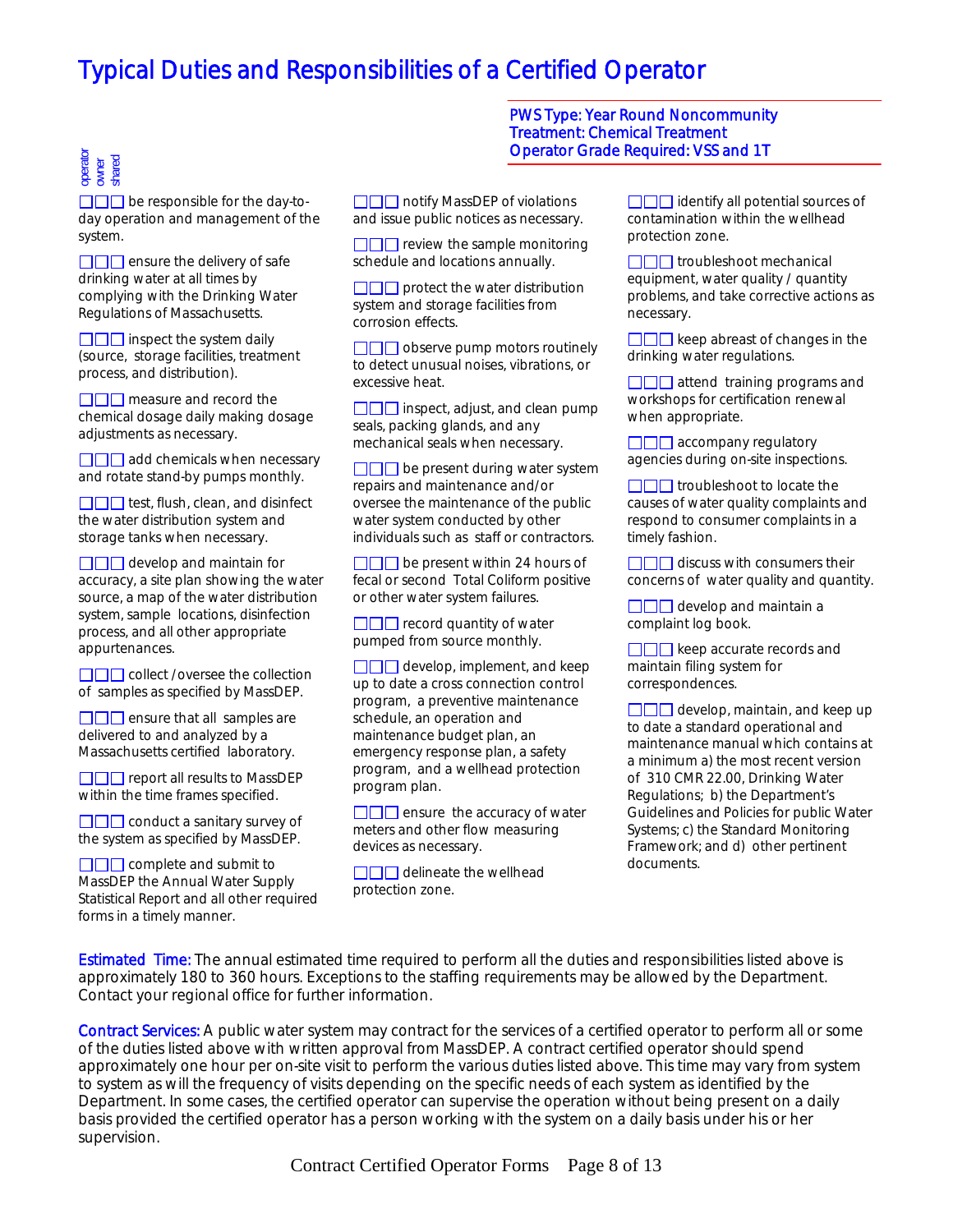# operator owner shared

 $\Box$  be responsible for the day-today operation and management of the system.

 $\Box$  ensure the delivery of safe drinking water at all times by complying with the Drinking Water Regulations of Massachusetts.

 $\Box$  inspect the system daily (source, storage facilities, treatment process, and distribution).

 $\Box \Box \Box$  measure and record the chemical dosage daily making dosage adjustments as necessary.

 $\Box$  $\Box$  add chemicals when necessary and rotate stand-by pumps monthly.

 $\Box$  $\Box$  test, flush, clean, and disinfect the water distribution system and storage tanks when necessary.

 $\Box$  $\Box$  develop and maintain for accuracy, a site plan showing the water source, a map of the water distribution system, sample locations, disinfection process, and all other appropriate appurtenances.

 $\square\square\square\square$  collect /oversee the collection of samples as specified by MassDEP.

 $\Box$  ensure that all samples are delivered to and analyzed by a Massachusetts certified laboratory.

**DOD** report all results to MassDEP within the time frames specified.

 $\square \square \square$  conduct a sanitary survey of the system as specified by MassDEP.

 $\Box$  $\Box$  complete and submit to MassDEP the Annual Water Supply Statistical Report and all other required forms in a timely manner.

□□□ notify MassDEP of violations and issue public notices as necessary.

 $\Box$  review the sample monitoring schedule and locations annually.

 $\square\square\square$  protect the water distribution system and storage facilities from corrosion effects.

 $\Box$  observe pump motors routinely to detect unusual noises, vibrations, or excessive heat.

 $\Box$  inspect, adjust, and clean pump seals, packing glands, and any mechanical seals when necessary.

 $\square \square \square$  be present during water system repairs and maintenance and/or oversee the maintenance of the public water system conducted by other individuals such as staff or contractors.

 $\Box$  be present within 24 hours of fecal or second Total Coliform positive or other water system failures.

 $\Box$  record quantity of water pumped from source monthly.

 $\Box$  $\Box$  develop, implement, and keep up to date a cross connection control program, a preventive maintenance schedule, an operation and maintenance budget plan, an emergency response plan, a safety program, and a wellhead protection program plan.

 $\Box$  ensure the accuracy of water meters and other flow measuring devices as necessary.

**OOO** delineate the wellhead protection zone.

PWS Type: Year Round Noncommunity Treatment: Chemical Treatment Operator Grade Required: VSS and 1T

> $\Box$  identify all potential sources of contamination within the wellhead protection zone.

 $\Box$  $\Box$  troubleshoot mechanical equipment, water quality / quantity problems, and take corrective actions as necessary.

 $\Box$  keep abreast of changes in the drinking water regulations.

**OOO** attend training programs and workshops for certification renewal when appropriate.

 $\Box$  $\Box$  accompany regulatory agencies during on-site inspections.

 $\Box$  $\Box$  troubleshoot to locate the causes of water quality complaints and respond to consumer complaints in a timely fashion.

 $\Box$  $\Box$  discuss with consumers their concerns of water quality and quantity.

 $\Box$  develop and maintain a complaint log book.

 $\Box$  keep accurate records and maintain filing system for correspondences.

 $\Box$  develop, maintain, and keep up to date a standard operational and maintenance manual which contains at a minimum a) the most recent version of 310 CMR 22.00, Drinking Water Regulations; b) the Department's Guidelines and Policies for public Water Systems; c) the Standard Monitoring Framework; and d) other pertinent documents.

Estimated Time: The annual estimated time required to perform all the duties and responsibilities listed above is approximately 180 to 360 hours. Exceptions to the staffing requirements may be allowed by the Department. Contact your regional office for further information.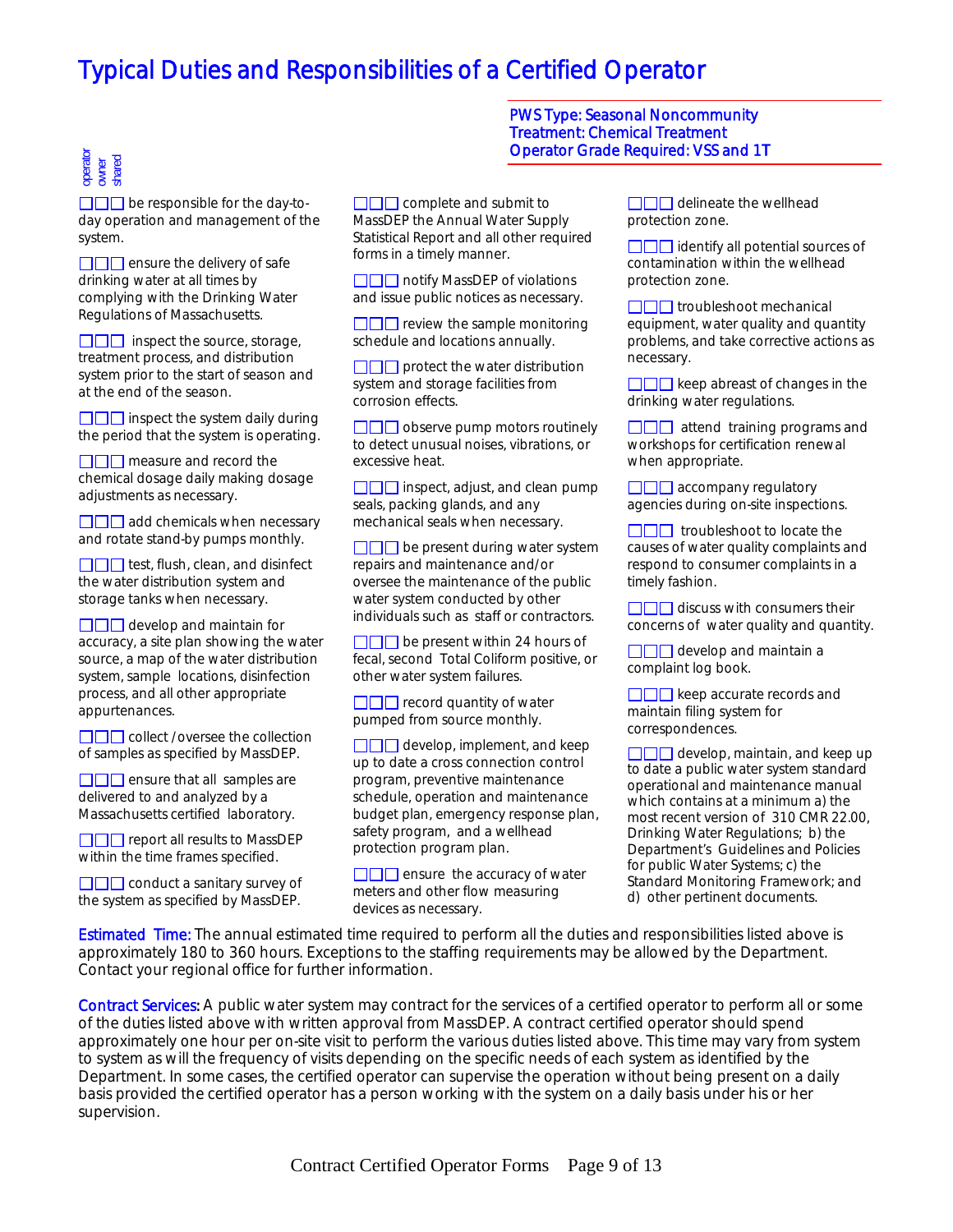# operator owner shared

 $\square \square \square$  be responsible for the day-today operation and management of the system.

 $\Box$  ensure the delivery of safe drinking water at all times by complying with the Drinking Water Regulations of Massachusetts.

 $\Box$  inspect the source, storage, treatment process, and distribution system prior to the start of season and at the end of the season.

 $\Box$  inspect the system daily during the period that the system is operating.

 $\Box$  measure and record the chemical dosage daily making dosage adjustments as necessary.

 $\Box$  $\Box$  add chemicals when necessary and rotate stand-by pumps monthly.

 $\Box$  test, flush, clean, and disinfect the water distribution system and storage tanks when necessary.

 $\Box$  develop and maintain for accuracy, a site plan showing the water source, a map of the water distribution system, sample locations, disinfection process, and all other appropriate appurtenances.

**COO** collect /oversee the collection of samples as specified by MassDEP.

 $\Box$  ensure that all samples are delivered to and analyzed by a Massachusetts certified laboratory.

□□□ report all results to MassDEP within the time frames specified.

 $\Box$  $\Box$  conduct a sanitary survey of the system as specified by MassDEP.

 $\Box$  $\Box$  complete and submit to MassDEP the Annual Water Supply Statistical Report and all other required forms in a timely manner.

**ODD** notify MassDEP of violations and issue public notices as necessary.

 $\square\square\square$  review the sample monitoring schedule and locations annually.

 $\square \square \square$  protect the water distribution system and storage facilities from corrosion effects.

 $\Box$  observe pump motors routinely to detect unusual noises, vibrations, or excessive heat.

 $\Box$  inspect, adjust, and clean pump seals, packing glands, and any mechanical seals when necessary.

 $\square \square \square$  be present during water system repairs and maintenance and/or oversee the maintenance of the public water system conducted by other individuals such as staff or contractors.

 $\Box$  be present within 24 hours of fecal, second Total Coliform positive, or other water system failures.

 $\Box$  record quantity of water pumped from source monthly.

 $\Box$  $\Box$  develop, implement, and keep up to date a cross connection control program, preventive maintenance schedule, operation and maintenance budget plan, emergency response plan, safety program, and a wellhead protection program plan.

 $\square\square\square$  ensure the accuracy of water meters and other flow measuring devices as necessary.

PWS Type: Seasonal Noncommunity Treatment: Chemical Treatment Operator Grade Required: VSS and 1T

> $\Box$  $\Box$  delineate the wellhead protection zone.

 $\Box$  identify all potential sources of contamination within the wellhead protection zone.

 $\square \square \square$  troubleshoot mechanical equipment, water quality and quantity problems, and take corrective actions as necessary.

 $\square\square\square$  keep abreast of changes in the drinking water regulations.

 $\Box$  attend training programs and workshops for certification renewal when appropriate.

 $\Box$  $\Box$  accompany regulatory agencies during on-site inspections.

 $\Box$  troubleshoot to locate the causes of water quality complaints and respond to consumer complaints in a timely fashion.

 $\Box \Box \Box$  discuss with consumers their concerns of water quality and quantity.

 $\Box$  $\Box$  develop and maintain a complaint log book.

 $\Box$  keep accurate records and maintain filing system for correspondences.

 $\Box$  develop, maintain, and keep up to date a public water system standard operational and maintenance manual which contains at a minimum a) the most recent version of 310 CMR 22.00, Drinking Water Regulations; b) the Department's Guidelines and Policies for public Water Systems; c) the Standard Monitoring Framework; and d) other pertinent documents.

Estimated Time: The annual estimated time required to perform all the duties and responsibilities listed above is approximately 180 to 360 hours. Exceptions to the staffing requirements may be allowed by the Department. Contact your regional office for further information.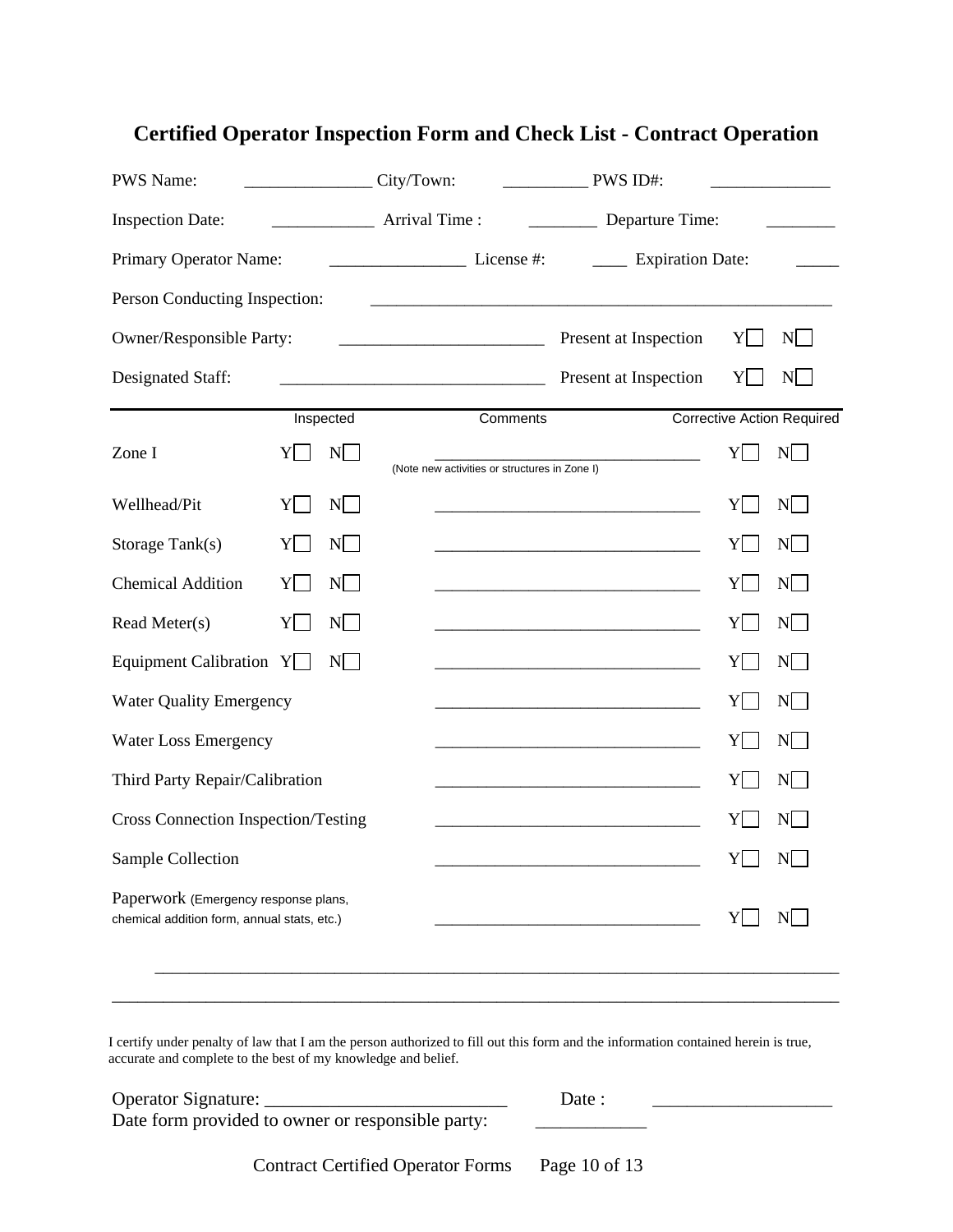| <b>PWS Name:</b>                                                                    |    |           | City/Town: |                                               | PWS ID#:                                                                                                             |                 |                                   |
|-------------------------------------------------------------------------------------|----|-----------|------------|-----------------------------------------------|----------------------------------------------------------------------------------------------------------------------|-----------------|-----------------------------------|
| <b>Inspection Date:</b>                                                             |    |           |            |                                               | Departure Time:                                                                                                      |                 |                                   |
| Primary Operator Name:                                                              |    |           |            | $\frac{1}{\text{License #:}}$                 | <b>Expiration Date:</b>                                                                                              |                 |                                   |
| Person Conducting Inspection:                                                       |    |           |            |                                               |                                                                                                                      |                 |                                   |
| Owner/Responsible Party:                                                            |    |           |            |                                               | Present at Inspection                                                                                                | Y               | N                                 |
| Designated Staff:                                                                   |    |           |            |                                               | Present at Inspection                                                                                                | Y               | N                                 |
|                                                                                     |    | Inspected |            | Comments                                      |                                                                                                                      |                 | <b>Corrective Action Required</b> |
| Zone I                                                                              | Y  | N         |            | (Note new activities or structures in Zone I) |                                                                                                                      | Y               | N                                 |
| Wellhead/Pit                                                                        | Y  | N         |            |                                               |                                                                                                                      | Y               | N                                 |
| Storage Tank(s)                                                                     | YI | N         |            |                                               |                                                                                                                      | Y               | $N$                               |
| <b>Chemical Addition</b>                                                            | Y  | N         |            |                                               |                                                                                                                      | Y               | N                                 |
| Read Meter(s)                                                                       | Y  | N         |            |                                               |                                                                                                                      | Y               | N                                 |
| Equipment Calibration $Y$                                                           |    | N         |            |                                               |                                                                                                                      | Y               | N                                 |
| <b>Water Quality Emergency</b>                                                      |    |           |            |                                               | <u> 1980 - Johann Barbara, martin amerikan basar dan berasal dalam basa dalam basa dalam basa dalam basa dalam b</u> | Y               | N                                 |
| <b>Water Loss Emergency</b>                                                         |    |           |            |                                               |                                                                                                                      | Y               | N                                 |
| Third Party Repair/Calibration                                                      |    |           |            |                                               |                                                                                                                      | Y               | N                                 |
| <b>Cross Connection Inspection/Testing</b>                                          |    |           |            |                                               |                                                                                                                      | Y               | N                                 |
| Sample Collection                                                                   |    |           |            |                                               |                                                                                                                      | $Y \Box N \Box$ |                                   |
| Paperwork (Emergency response plans,<br>chemical addition form, annual stats, etc.) |    |           |            |                                               |                                                                                                                      | Y               | N                                 |
|                                                                                     |    |           |            |                                               |                                                                                                                      |                 |                                   |

### **Certified Operator Inspection Form and Check List - Contract Operation**

I certify under penalty of law that I am the person authorized to fill out this form and the information contained herein is true, accurate and complete to the best of my knowledge and belief.

| Operator Signature:                               | Date : |
|---------------------------------------------------|--------|
| Date form provided to owner or responsible party: |        |

Contract Certified Operator Forms Page 10 of 13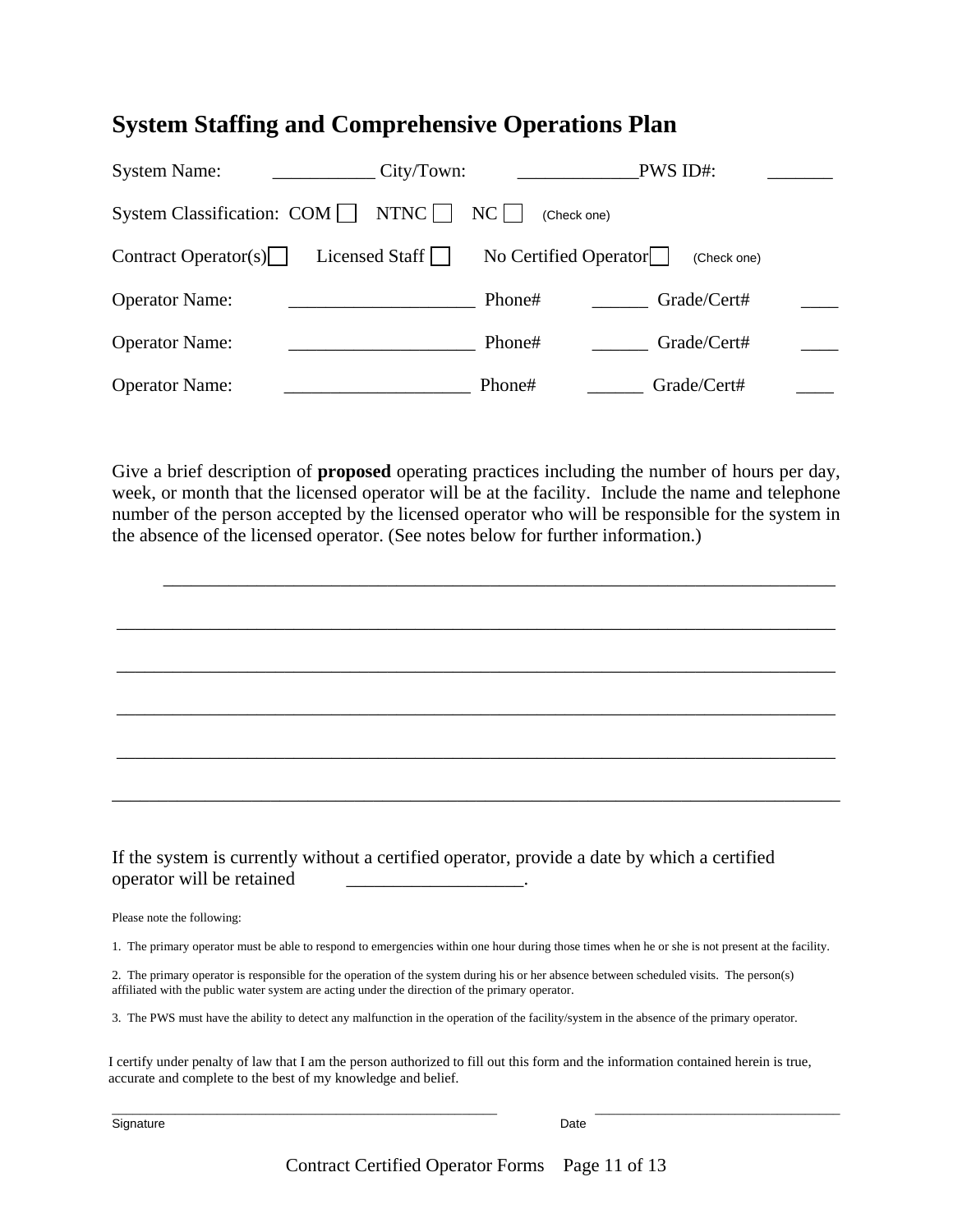### **System Staffing and Comprehensive Operations Plan**

| <b>System Name:</b>          | City/Town:     |                       | PWS ID#:    |  |
|------------------------------|----------------|-----------------------|-------------|--|
| System Classification: COM   | NTNC           | $NC$                  | (Check one) |  |
| Contract Operator(s) $\vert$ | Licensed Staff | No Certified Operator | (Check one) |  |
| <b>Operator Name:</b>        |                | Phone#                | Grade/Cert# |  |
| <b>Operator Name:</b>        |                | Phone#                | Grade/Cert# |  |
| <b>Operator Name:</b>        |                | Phone#                | Grade/Cert# |  |

Give a brief description of **proposed** operating practices including the number of hours per day, week, or month that the licensed operator will be at the facility. Include the name and telephone number of the person accepted by the licensed operator who will be responsible for the system in the absence of the licensed operator. (See notes below for further information.)

 $\overline{\phantom{a}}$  , and the contribution of the contribution of the contribution of the contribution of the contribution of the contribution of the contribution of the contribution of the contribution of the contribution of the

\_\_\_\_\_\_\_\_\_\_\_\_\_\_\_\_\_\_\_\_\_\_\_\_\_\_\_\_\_\_\_\_\_\_\_\_\_\_\_\_\_\_\_\_\_\_\_\_\_\_\_\_\_\_\_\_\_\_\_\_\_\_\_\_\_\_\_\_\_\_\_\_\_\_\_\_\_

\_\_\_\_\_\_\_\_\_\_\_\_\_\_\_\_\_\_\_\_\_\_\_\_\_\_\_\_\_\_\_\_\_\_\_\_\_\_\_\_\_\_\_\_\_\_\_\_\_\_\_\_\_\_\_\_\_\_\_\_\_\_\_\_\_\_\_\_\_\_\_\_\_\_\_\_\_

\_\_\_\_\_\_\_\_\_\_\_\_\_\_\_\_\_\_\_\_\_\_\_\_\_\_\_\_\_\_\_\_\_\_\_\_\_\_\_\_\_\_\_\_\_\_\_\_\_\_\_\_\_\_\_\_\_\_\_\_\_\_\_\_\_\_\_\_\_\_\_\_\_\_\_\_\_

\_\_\_\_\_\_\_\_\_\_\_\_\_\_\_\_\_\_\_\_\_\_\_\_\_\_\_\_\_\_\_\_\_\_\_\_\_\_\_\_\_\_\_\_\_\_\_\_\_\_\_\_\_\_\_\_\_\_\_\_\_\_\_\_\_\_\_\_\_\_\_\_\_\_\_\_\_

\_\_\_\_\_\_\_\_\_\_\_\_\_\_\_\_\_\_\_\_\_\_\_\_\_\_\_\_\_\_\_\_\_\_\_\_\_\_\_\_\_\_\_\_\_\_\_\_\_\_\_\_\_\_\_\_\_\_\_\_\_\_\_\_\_\_\_\_\_\_\_\_\_\_\_\_\_\_

If the system is currently without a certified operator, provide a date by which a certified operator will be retained \_\_\_\_\_\_\_\_\_\_\_\_\_\_\_\_\_\_\_.

Please note the following:

1. The primary operator must be able to respond to emergencies within one hour during those times when he or she is not present at the facility.

2. The primary operator is responsible for the operation of the system during his or her absence between scheduled visits. The person(s) affiliated with the public water system are acting under the direction of the primary operator.

3. The PWS must have the ability to detect any malfunction in the operation of the facility/system in the absence of the primary operator.

I certify under penalty of law that I am the person authorized to fill out this form and the information contained herein is true, accurate and complete to the best of my knowledge and belief.

Contract Certified Operator Forms Page 11 of 13

 $\frac{1}{2}$  ,  $\frac{1}{2}$  ,  $\frac{1}{2}$  ,  $\frac{1}{2}$  ,  $\frac{1}{2}$  ,  $\frac{1}{2}$  ,  $\frac{1}{2}$  ,  $\frac{1}{2}$  ,  $\frac{1}{2}$  ,  $\frac{1}{2}$  ,  $\frac{1}{2}$  ,  $\frac{1}{2}$  ,  $\frac{1}{2}$  ,  $\frac{1}{2}$  ,  $\frac{1}{2}$  ,  $\frac{1}{2}$  ,  $\frac{1}{2}$  ,  $\frac{1}{2}$  ,  $\frac{1$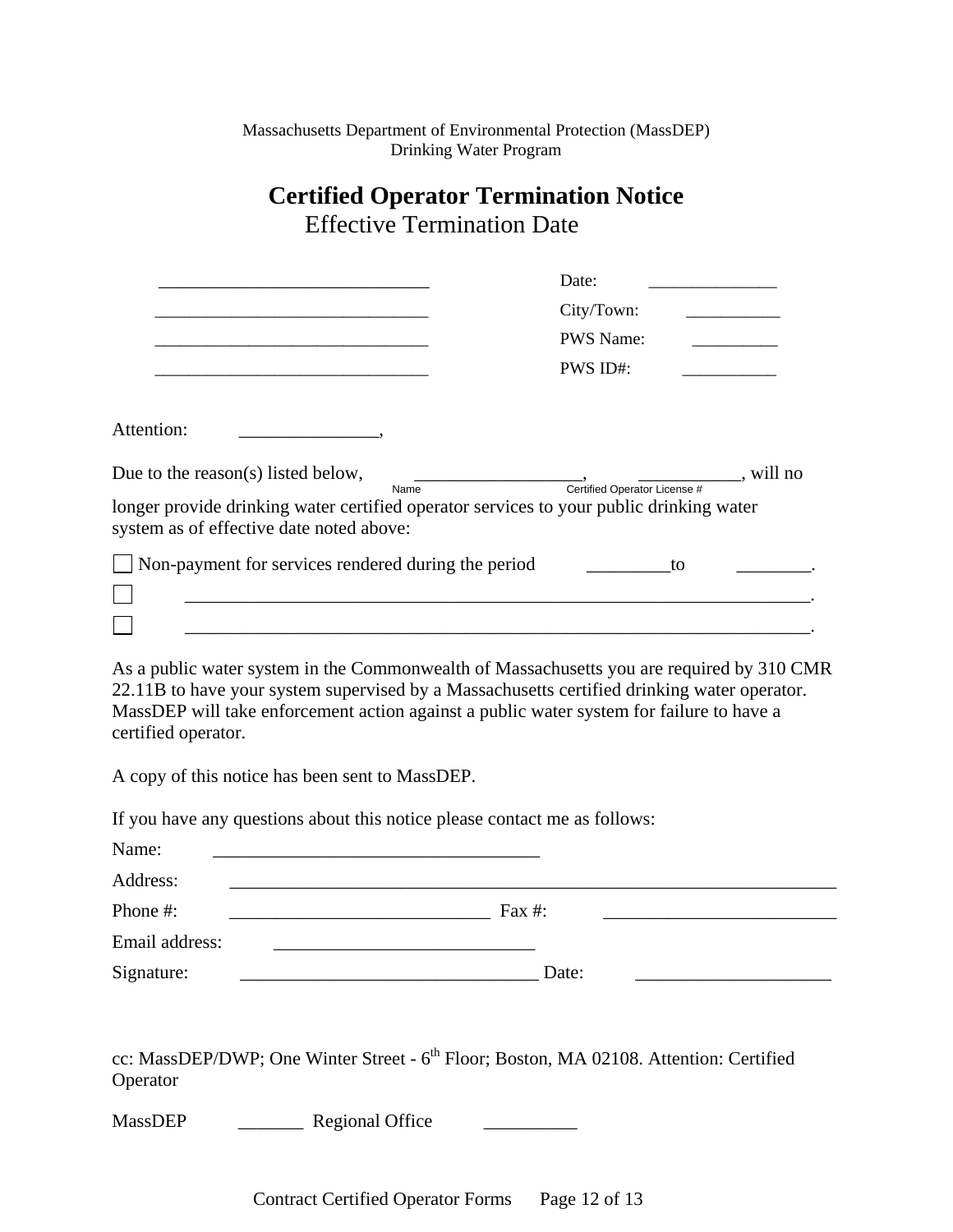Massachusetts Department of Environmental Protection (MassDEP) Drinking Water Program

### **Certified Operator Termination Notice**  Effective Termination Date

|                                                                                                                                     | Date:                                                                                                                                                                                                                                                                                                                                                                                                                                                             |
|-------------------------------------------------------------------------------------------------------------------------------------|-------------------------------------------------------------------------------------------------------------------------------------------------------------------------------------------------------------------------------------------------------------------------------------------------------------------------------------------------------------------------------------------------------------------------------------------------------------------|
|                                                                                                                                     | City/Town:                                                                                                                                                                                                                                                                                                                                                                                                                                                        |
|                                                                                                                                     | <b>PWS Name:</b>                                                                                                                                                                                                                                                                                                                                                                                                                                                  |
|                                                                                                                                     | PWS ID#:                                                                                                                                                                                                                                                                                                                                                                                                                                                          |
|                                                                                                                                     |                                                                                                                                                                                                                                                                                                                                                                                                                                                                   |
| Attention:                                                                                                                          |                                                                                                                                                                                                                                                                                                                                                                                                                                                                   |
| Due to the reason(s) listed below,<br>Name                                                                                          | $\frac{1}{\sqrt{1-\frac{1}{\sqrt{1-\frac{1}{\sqrt{1-\frac{1}{\sqrt{1-\frac{1}{\sqrt{1-\frac{1}{\sqrt{1-\frac{1}{\sqrt{1-\frac{1}{\sqrt{1-\frac{1}{\sqrt{1-\frac{1}{\sqrt{1-\frac{1}{\sqrt{1-\frac{1}{\sqrt{1-\frac{1}{\sqrt{1-\frac{1}{\sqrt{1-\frac{1}{\sqrt{1-\frac{1}{\sqrt{1-\frac{1}{\sqrt{1-\frac{1}{\sqrt{1-\frac{1}{\sqrt{1-\frac{1}{\sqrt{1-\frac{1}{\sqrt{1-\frac{1}{\sqrt{1-\frac{1}{\sqrt{1-\frac{1}{\sqrt{1-\frac{1$<br>Certified Operator License # |
| longer provide drinking water certified operator services to your public drinking water<br>system as of effective date noted above: |                                                                                                                                                                                                                                                                                                                                                                                                                                                                   |
| Non-payment for services rendered during the period                                                                                 | to                                                                                                                                                                                                                                                                                                                                                                                                                                                                |
|                                                                                                                                     |                                                                                                                                                                                                                                                                                                                                                                                                                                                                   |
| certified operator.<br>A copy of this notice has been sent to MassDEP.                                                              |                                                                                                                                                                                                                                                                                                                                                                                                                                                                   |
| If you have any questions about this notice please contact me as follows:                                                           |                                                                                                                                                                                                                                                                                                                                                                                                                                                                   |
| Name:                                                                                                                               |                                                                                                                                                                                                                                                                                                                                                                                                                                                                   |
| Address:                                                                                                                            |                                                                                                                                                                                                                                                                                                                                                                                                                                                                   |
| Phone #:                                                                                                                            | Fax $#$ :                                                                                                                                                                                                                                                                                                                                                                                                                                                         |
| Email address:                                                                                                                      |                                                                                                                                                                                                                                                                                                                                                                                                                                                                   |
| Signature:                                                                                                                          | Date:                                                                                                                                                                                                                                                                                                                                                                                                                                                             |
|                                                                                                                                     |                                                                                                                                                                                                                                                                                                                                                                                                                                                                   |
| Operator                                                                                                                            | cc: MassDEP/DWP; One Winter Street - 6 <sup>th</sup> Floor; Boston, MA 02108. Attention: Certified                                                                                                                                                                                                                                                                                                                                                                |

MassDEP \_\_\_\_\_\_\_\_\_\_\_\_\_\_ Regional Office

Contract Certified Operator Forms Page 12 of 13